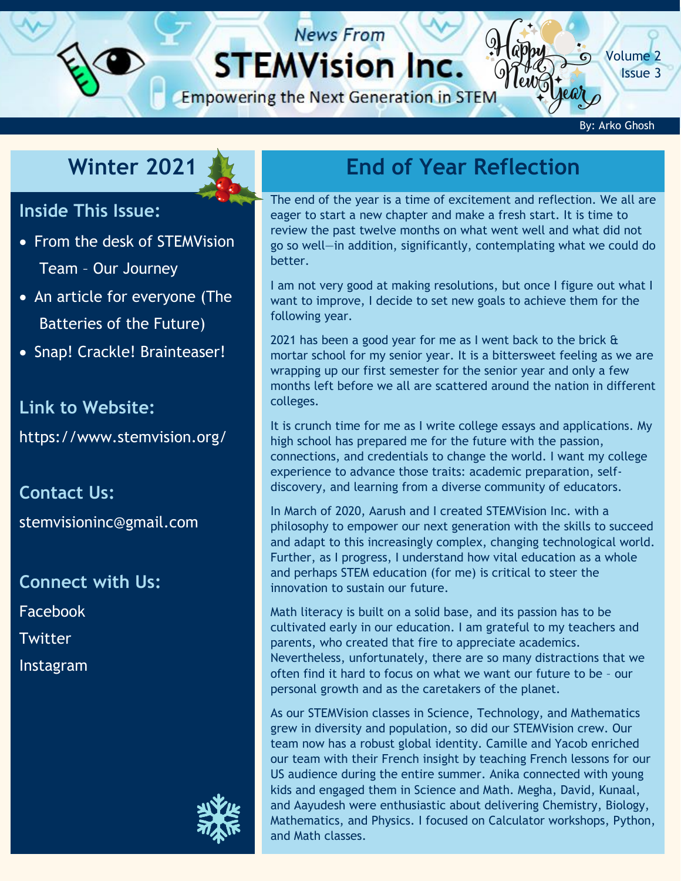# **STEMVision Inc.**

**News From** 

**Empowering the Next Generation in STEM** 

By: Arko Ghosh

[Volume 2](https://www.stemvision.org/) Issue 3

#### **Winter 2021**

#### **Inside This Issue:**

- From the desk of STEMVision Team – Our Journey
- An article for everyone (The Batteries of the Future)
- Snap! Crackle! Brainteaser!

#### **Link to Website:**

<https://www.stemvision.org/>

**Contact Us:**

[stemvisioninc@gmail.com](mailto:stemvisioninc@gmail.com)

**Connect with Us:** [Facebook](https://www.facebook.com/STEMVision-Inc-101028421597604/?modal=admin_todo_tour) [Twitter](https://twitter.com/stemvisioninc) [Instagram](https://www.instagram.com/stemvision/)



# **Winter 202[1](https://www.stemvision.org/) End of Year Reflection**

The end of the year is a time of excitement and reflection. We all are eager to start a new chapter and make a fresh start. It is time to review the past twelve months on what went well and what did not go so well—in addition, significantly, contemplating what we could do better.

I am not very good at making resolutions, but once I figure out what I want to improve, I decide to set new goals to achieve them for the following year.

2021 has been a good year for me as I went back to the brick & mortar school for my senior year. It is a bittersweet feeling as we are wrapping up our first semester for the senior year and only a few months left before we all are scattered around the nation in different colleges.

It is crunch time for me as I write college essays and applications. My high school has prepared me for the future with the passion, connections, and credentials to change the world. I want my college experience to advance those traits: academic preparation, selfdiscovery, and learning from a diverse community of educators.

In March of 2020, Aarush and I created STEMVision Inc. with a philosophy to empower our next generation with the skills to succeed and adapt to this increasingly complex, changing technological world. Further, as I progress, I understand how vital education as a whole and perhaps STEM education (for me) is critical to steer the innovation to sustain our future.

Math literacy is built on a solid base, and its passion has to be cultivated early in our education. I am grateful to my teachers and parents, who created that fire to appreciate academics. Nevertheless, unfortunately, there are so many distractions that we often find it hard to focus on what we want our future to be – our personal growth and as the caretakers of the planet.

As our STEMVision classes in Science, Technology, and Mathematics grew in diversity and population, so did our STEMVision crew. Our team now has a robust global identity. Camille and Yacob enriched our team with their French insight by teaching French lessons for our US audience during the entire summer. Anika connected with young kids and engaged them in Science and Math. Megha, David, Kunaal, and Aayudesh were enthusiastic about delivering Chemistry, Biology, Mathematics, and Physics. I focused on Calculator workshops, Python, and Math classes.